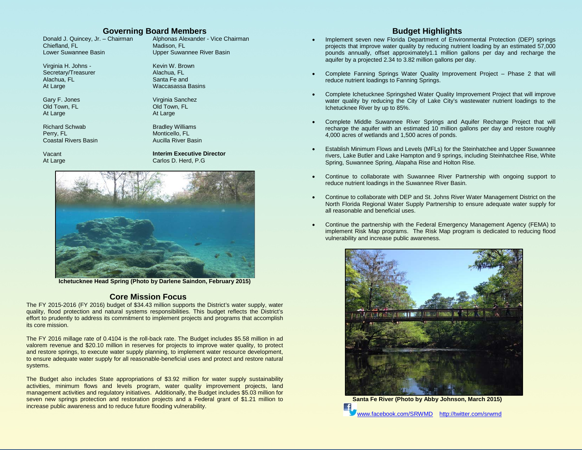## **Governing Board Members**

Donald J. Quincey, Jr. – Chairman Chiefland, FL Lower Suwannee Basin

Virginia H. Johns - Secretary/Treasurer Alachua, FL At Large

Gary F. Jones Old Town, FL At Large

Richard Schwab Perry, FL Coastal Rivers Basin

Vacant At Large Alphonas Alexander - Vice Chairman Madison, FL Upper Suwannee River Basin

Kevin W. Brown Alachua, FL Santa Fe and Waccasassa Basins

Virginia Sanchez Old Town, FL At Large

Bradley Williams Monticello, FL Aucilla River Basin

**Interim Executive Director** Carlos D. Herd, P.G



**Ichetucknee Head Spring (Photo by Darlene Saindon, February 2015)**

### **Core Mission Focus**

The FY 2015-2016 (FY 2016) budget of \$34.43 million supports the District's water supply, water quality, flood protection and natural systems responsibilities. This budget reflects the District's effort to prudently to address its commitment to implement projects and programs that accomplish its core mission.

The FY 2016 millage rate of 0.4104 is the roll-back rate. The Budget includes \$5.58 million in ad valorem revenue and \$20.10 million in reserves for projects to improve water quality, to protect and restore springs, to execute water supply planning, to implement water resource development, to ensure adequate water supply for all reasonable-beneficial uses and protect and restore natural systems.

The Budget also includes State appropriations of \$3.92 million for water supply sustainability activities, minimum flows and levels program, water quality improvement projects, land management activities and regulatory initiatives. Additionally, the Budget includes \$5.03 million for seven new springs protection and restoration projects and a Federal grant of \$1.21 million to increase public awareness and to reduce future flooding vulnerability.

### **Budget Highlights**

- Implement seven new Florida Department of Environmental Protection (DEP) springs projects that improve water quality by reducing nutrient loading by an estimated 57,000 pounds annually, offset approximately1.1 million gallons per day and recharge the aquifer by a projected 2.34 to 3.82 million gallons per day.
- Complete Fanning Springs Water Quality Improvement Project Phase 2 that will reduce nutrient loadings to Fanning Springs.
- Complete Ichetucknee Springshed Water Quality Improvement Project that will improve water quality by reducing the City of Lake City's wastewater nutrient loadings to the Ichetucknee River by up to 85%.
- Complete Middle Suwannee River Springs and Aquifer Recharge Project that will recharge the aquifer with an estimated 10 million gallons per day and restore roughly 4,000 acres of wetlands and 1,500 acres of ponds.
- Establish Minimum Flows and Levels (MFLs) for the Steinhatchee and Upper Suwannee rivers, Lake Butler and Lake Hampton and 9 springs, including Steinhatchee Rise, White Spring, Suwannee Spring, Alapaha Rise and Holton Rise.
- Continue to collaborate with Suwannee River Partnership with ongoing support to reduce nutrient loadings in the Suwannee River Basin.
- Continue to collaborate with DEP and St. Johns River Water Management District on the North Florida Regional Water Supply Partnership to ensure adequate water supply for all reasonable and beneficial uses.
- Continue the partnership with the Federal Emergency Management Agency (FEMA) to implement Risk Map programs. The Risk Map program is dedicated to reducing flood vulnerability and increase public awareness.



[www.facebook.com/SRWMD](http://www.facebook.com/SRWMD)<http://twitter.com/srwmd>